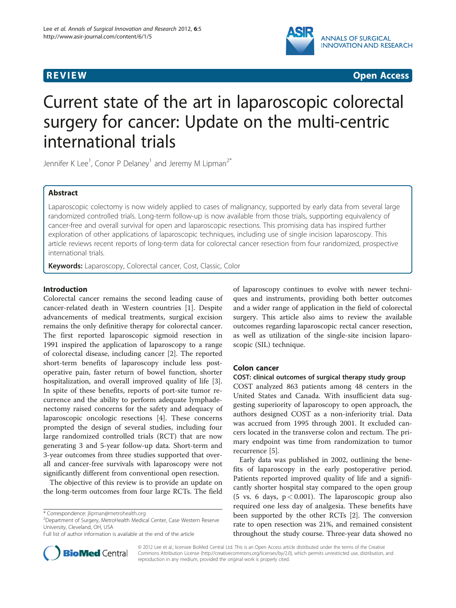

**REVIEW CONSTRUCTION CONSTRUCTION CONSTRUCTS** 

# Current state of the art in laparoscopic colorectal surgery for cancer: Update on the multi-centric international trials

Jennifer K Lee $^1$ , Conor P Delaney $^1$  and Jeremy M Lipman $^{2^*}$ 

# Abstract

Laparoscopic colectomy is now widely applied to cases of malignancy, supported by early data from several large randomized controlled trials. Long-term follow-up is now available from those trials, supporting equivalency of cancer-free and overall survival for open and laparoscopic resections. This promising data has inspired further exploration of other applications of laparoscopic techniques, including use of single incision laparoscopy. This article reviews recent reports of long-term data for colorectal cancer resection from four randomized, prospective international trials.

Keywords: Laparoscopy, Colorectal cancer, Cost, Classic, Color

## Introduction

Colorectal cancer remains the second leading cause of cancer-related death in Western countries [[1\]](#page-6-0). Despite advancements of medical treatments, surgical excision remains the only definitive therapy for colorectal cancer. The first reported laparoscopic sigmoid resection in 1991 inspired the application of laparoscopy to a range of colorectal disease, including cancer [[2\]](#page-6-0). The reported short-term benefits of laparoscopy include less postoperative pain, faster return of bowel function, shorter hospitalization, and overall improved quality of life [\[3](#page-6-0)]. In spite of these benefits, reports of port-site tumor recurrence and the ability to perform adequate lymphadenectomy raised concerns for the safety and adequacy of laparoscopic oncologic resections [[4\]](#page-6-0). These concerns prompted the design of several studies, including four large randomized controlled trials (RCT) that are now generating 3 and 5-year follow-up data. Short-term and 3-year outcomes from three studies supported that overall and cancer-free survivals with laparoscopy were not significantly different from conventional open resection.

The objective of this review is to provide an update on the long-term outcomes from four large RCTs. The field

<sup>2</sup>Department of Surgery, MetroHealth Medical Center, Case Western Reserve University, Cleveland, OH, USA

of laparoscopy continues to evolve with newer techniques and instruments, providing both better outcomes and a wider range of application in the field of colorectal surgery. This article also aims to review the available outcomes regarding laparoscopic rectal cancer resection, as well as utilization of the single-site incision laparoscopic (SIL) technique.

## Colon cancer

#### COST: clinical outcomes of surgical therapy study group

COST analyzed 863 patients among 48 centers in the United States and Canada. With insufficient data suggesting superiority of laparoscopy to open approach, the authors designed COST as a non-inferiority trial. Data was accrued from 1995 through 2001. It excluded cancers located in the transverse colon and rectum. The primary endpoint was time from randomization to tumor recurrence [[5\]](#page-6-0).

Early data was published in 2002, outlining the benefits of laparoscopy in the early postoperative period. Patients reported improved quality of life and a significantly shorter hospital stay compared to the open group (5 vs. 6 days,  $p < 0.001$ ). The laparoscopic group also required one less day of analgesia. These benefits have been supported by the other RCTs [[2\]](#page-6-0). The conversion rate to open resection was 21%, and remained consistent throughout the study course. Three-year data showed no



© 2012 Lee et al.; licensee BioMed Central Ltd. This is an Open Access article distributed under the terms of the Creative Commons Attribution License [\(http://creativecommons.org/licenses/by/2.0\)](http://creativecommons.org/licenses/by/2.0), which permits unrestricted use, distribution, and reproduction in any medium, provided the original work is properly cited.

<sup>\*</sup> Correspondence: [jlipman@metrohealth.org](mailto:jlipman@metrohealth.org) <sup>2</sup>

Full list of author information is available at the end of the article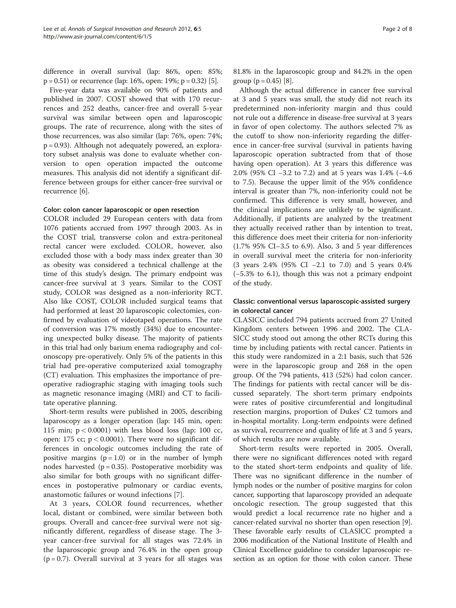difference in overall survival (lap: 86%, open: 85%;  $p = 0.51$  $p = 0.51$  $p = 0.51$ ) or recurrence (lap: 16%, open: 19%;  $p = 0.32$ ) [5].

Five-year data was available on 90% of patients and published in 2007. COST showed that with 170 recurrences and 252 deaths, cancer-free and overall 5-year survival was similar between open and laparoscopic groups. The rate of recurrence, along with the sites of those recurrences, was also similar (lap: 76%, open: 74%; p = 0.93). Although not adequately powered, an exploratory subset analysis was done to evaluate whether conversion to open operation impacted the outcome measures. This analysis did not identify a significant difference between groups for either cancer-free survival or recurrence [[6\]](#page-6-0).

#### Color: colon cancer laparoscopic or open resection

COLOR included 29 European centers with data from 1076 patients accrued from 1997 through 2003. As in the COST trial, transverse colon and extra-peritoneal rectal cancer were excluded. COLOR, however, also excluded those with a body mass index greater than 30 as obesity was considered a technical challenge at the time of this study's design. The primary endpoint was cancer-free survival at 3 years. Similar to the COST study, COLOR was designed as a non-inferiority RCT. Also like COST, COLOR included surgical teams that had performed at least 20 laparoscopic colectomies, confirmed by evaluation of videotaped operations. The rate of conversion was 17% mostly (34%) due to encountering unexpected bulky disease. The majority of patients in this trial had only barium enema radiography and colonoscopy pre-operatively. Only 5% of the patients in this trial had pre-operative computerized axial tomography (CT) evaluation. This emphasizes the importance of preoperative radiographic staging with imaging tools such as magnetic resonance imaging (MRI) and CT to facilitate operative planning.

Short-term results were published in 2005, describing laparoscopy as a longer operation (lap: 145 min, open: 115 min;  $p < 0.0001$ ) with less blood loss (lap: 100 cc, open: 175 cc;  $p < 0.0001$ ). There were no significant differences in oncologic outcomes including the rate of positive margins  $(p = 1.0)$  or in the number of lymph nodes harvested ( $p = 0.35$ ). Postoperative morbidity was also similar for both groups with no significant differences in postoperative pulmonary or cardiac events, anastomotic failures or wound infections [\[7](#page-6-0)].

At 3 years, COLOR found recurrences, whether local, distant or combined, were similar between both groups. Overall and cancer-free survival were not significantly different, regardless of disease stage. The 3 year cancer-free survival for all stages was 72.4% in the laparoscopic group and 76.4% in the open group  $(p = 0.7)$ . Overall survival at 3 years for all stages was 81.8% in the laparoscopic group and 84.2% in the open group ( $p = 0.45$ ) [\[8](#page-6-0)].

Although the actual difference in cancer free survival at 3 and 5 years was small, the study did not reach its predetermined non-inferiority margin and thus could not rule out a difference in disease-free survival at 3 years in favor of open colectomy. The authors selected 7% as the cutoff to show non-inferiority regarding the difference in cancer-free survival (survival in patients having laparoscopic operation subtracted from that of those having open operation). At 3 years this difference was 2.0% (95% CI −3.2 to 7.2) and at 5 years was 1.4% (−4.6 to 7.5). Because the upper limit of the 95% confidence interval is greater than 7%, non-inferiority could not be confirmed. This difference is very small, however, and the clinical implications are unlikely to be significant. Additionally, if patients are analyzed by the treatment they actually received rather than by intention to treat, this difference does meet their criteria for non-inferiority (1.7% 95% CI–3.5 to 6.9). Also, 3 and 5 year differences in overall survival meet the criteria for non-inferiority (3 years 2.4% (95% CI −2.1 to 7.0) and 5 years 0.4% (−5.3% to 6.1), though this was not a primary endpoint of the study.

# Classic: conventional versus laparoscopic-assisted surgery in colorectal cancer

CLASICC included 794 patients accrued from 27 United Kingdom centers between 1996 and 2002. The CLA-SICC study stood out among the other RCTs during this time by including patients with rectal cancer. Patients in this study were randomized in a 2:1 basis, such that 526 were in the laparoscopic group and 268 in the open group. Of the 794 patients, 413 (52%) had colon cancer. The findings for patients with rectal cancer will be discussed separately. The short-term primary endpoints were rates of positive circumferential and longitudinal resection margins, proportion of Dukes' C2 tumors and in-hospital mortality. Long-term endpoints were defined as survival, recurrence and quality of life at 3 and 5 years, of which results are now available.

Short-term results were reported in 2005. Overall, there were no significant differences noted with regard to the stated short-term endpoints and quality of life. There was no significant difference in the number of lymph nodes or the number of positive margins for colon cancer, supporting that laparoscopy provided an adequate oncologic resection. The group suggested that this would predict a local recurrence rate no higher and a cancer-related survival no shorter than open resection [[9](#page-6-0)]. These favorable early results of CLASICC prompted a 2006 modification of the National Institute of Health and Clinical Excellence guideline to consider laparoscopic resection as an option for those with colon cancer. These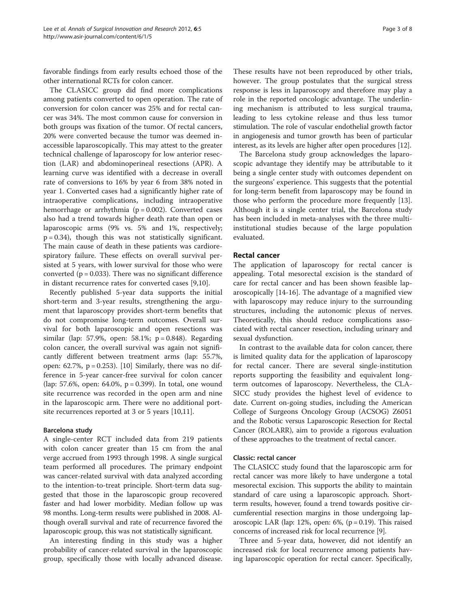favorable findings from early results echoed those of the other international RCTs for colon cancer.

The CLASICC group did find more complications among patients converted to open operation. The rate of conversion for colon cancer was 25% and for rectal cancer was 34%. The most common cause for conversion in both groups was fixation of the tumor. Of rectal cancers, 20% were converted because the tumor was deemed inaccessible laparoscopically. This may attest to the greater technical challenge of laparoscopy for low anterior resection (LAR) and abdominoperineal resections (APR). A learning curve was identified with a decrease in overall rate of conversions to 16% by year 6 from 38% noted in year 1. Converted cases had a significantly higher rate of intraoperative complications, including intraoperative hemorrhage or arrhythmia ( $p = 0.002$ ). Converted cases also had a trend towards higher death rate than open or laparoscopic arms (9% vs. 5% and 1%, respectively;  $p = 0.34$ ), though this was not statistically significant. The main cause of death in these patients was cardiorespiratory failure. These effects on overall survival persisted at 5 years, with lower survival for those who were converted ( $p = 0.033$ ). There was no significant difference in distant recurrence rates for converted cases [\[9,10](#page-6-0)].

Recently published 5-year data supports the initial short-term and 3-year results, strengthening the argument that laparoscopy provides short-term benefits that do not compromise long-term outcomes. Overall survival for both laparoscopic and open resections was similar (lap: 57.9%, open: 58.1%;  $p = 0.848$ ). Regarding colon cancer, the overall survival was again not significantly different between treatment arms (lap: 55.7%, open: 62.7%,  $p = 0.253$ ). [\[10](#page-6-0)] Similarly, there was no difference in 5-year cancer-free survival for colon cancer (lap: 57.6%, open: 64.0%,  $p = 0.399$ ). In total, one wound site recurrence was recorded in the open arm and nine in the laparoscopic arm. There were no additional portsite recurrences reported at 3 or 5 years [[10](#page-6-0),[11](#page-6-0)].

#### Barcelona study

A single-center RCT included data from 219 patients with colon cancer greater than 15 cm from the anal verge accrued from 1993 through 1998. A single surgical team performed all procedures. The primary endpoint was cancer-related survival with data analyzed according to the intention-to-treat principle. Short-term data suggested that those in the laparoscopic group recovered faster and had lower morbidity. Median follow up was 98 months. Long-term results were published in 2008. Although overall survival and rate of recurrence favored the laparoscopic group, this was not statistically significant.

An interesting finding in this study was a higher probability of cancer-related survival in the laparoscopic group, specifically those with locally advanced disease.

These results have not been reproduced by other trials, however. The group postulates that the surgical stress response is less in laparoscopy and therefore may play a role in the reported oncologic advantage. The underlining mechanism is attributed to less surgical trauma, leading to less cytokine release and thus less tumor stimulation. The role of vascular endothelial growth factor in angiogenesis and tumor growth has been of particular

The Barcelona study group acknowledges the laparoscopic advantage they identify may be attributable to it being a single center study with outcomes dependent on the surgeons' experience. This suggests that the potential for long-term benefit from laparoscopy may be found in those who perform the procedure more frequently [\[13](#page-6-0)]. Although it is a single center trial, the Barcelona study has been included in meta-analyses with the three multiinstitutional studies because of the large population evaluated.

interest, as its levels are higher after open procedures [[12](#page-6-0)].

# Rectal cancer

The application of laparoscopy for rectal cancer is appealing. Total mesorectal excision is the standard of care for rectal cancer and has been shown feasible laparoscopically [[14](#page-6-0)-[16\]](#page-6-0). The advantage of a magnified view with laparoscopy may reduce injury to the surrounding structures, including the autonomic plexus of nerves. Theoretically, this should reduce complications associated with rectal cancer resection, including urinary and sexual dysfunction.

In contrast to the available data for colon cancer, there is limited quality data for the application of laparoscopy for rectal cancer. There are several single-institution reports supporting the feasibility and equivalent longterm outcomes of laparoscopy. Nevertheless, the CLA-SICC study provides the highest level of evidence to date. Current on-going studies, including the American College of Surgeons Oncology Group (ACSOG) Z6051 and the Robotic versus Laparoscopic Resection for Rectal Cancer (ROLARR), aim to provide a rigorous evaluation of these approaches to the treatment of rectal cancer.

#### Classic: rectal cancer

The CLASICC study found that the laparoscopic arm for rectal cancer was more likely to have undergone a total mesorectal excision. This supports the ability to maintain standard of care using a laparoscopic approach. Shortterm results, however, found a trend towards positive circumferential resection margins in those undergoing laparoscopic LAR (lap: 12%, open: 6%,  $(p = 0.19)$ . This raised concerns of increased risk for local recurrence [\[9\]](#page-6-0).

Three and 5-year data, however, did not identify an increased risk for local recurrence among patients having laparoscopic operation for rectal cancer. Specifically,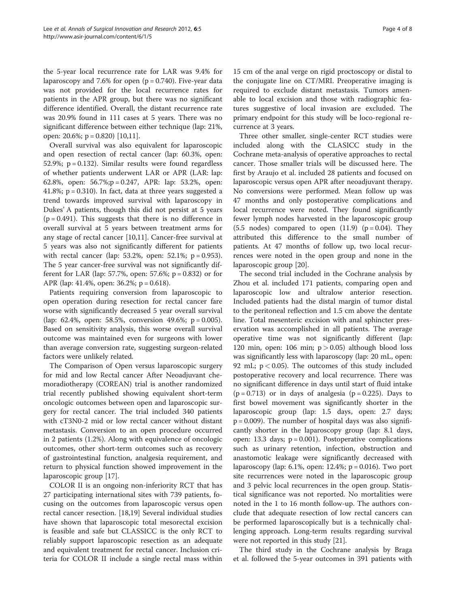the 5-year local recurrence rate for LAR was 9.4% for laparoscopy and 7.6% for open  $(p = 0.740)$ . Five-year data was not provided for the local recurrence rates for patients in the APR group, but there was no significant difference identified. Overall, the distant recurrence rate was 20.9% found in 111 cases at 5 years. There was no significant difference between either technique (lap: 21%, open: 20.6%; p = 0.820) [\[10,11\]](#page-6-0).

Overall survival was also equivalent for laparoscopic and open resection of rectal cancer (lap: 60.3%, open: 52.9%;  $p = 0.132$ ). Similar results were found regardless of whether patients underwent LAR or APR (LAR: lap: 62.8%, open: 56.7%;p = 0.247, APR: lap: 53.2%, open: 41.8%;  $p = 0.310$ ). In fact, data at three years suggested a trend towards improved survival with laparoscopy in Dukes' A patients, though this did not persist at 5 years  $(p = 0.491)$ . This suggests that there is no difference in overall survival at 5 years between treatment arms for any stage of rectal cancer [\[10,11](#page-6-0)]. Cancer-free survival at 5 years was also not significantly different for patients with rectal cancer (lap: 53.2%, open: 52.1%;  $p = 0.953$ ). The 5 year cancer-free survival was not significantly different for LAR (lap: 57.7%, open: 57.6%; p = 0.832) or for APR (lap: 41.4%, open: 36.2%; p = 0.618).

Patients requiring conversion from laparoscopic to open operation during resection for rectal cancer fare worse with significantly decreased 5 year overall survival (lap: 62.4%, open: 58.5%, conversion 49.6%;  $p = 0.005$ ). Based on sensitivity analysis, this worse overall survival outcome was maintained even for surgeons with lower than average conversion rate, suggesting surgeon-related factors were unlikely related.

The Comparison of Open versus laparoscopic surgery for mid and low Rectal cancer After Neoadjuvant chemoradiotherapy (COREAN) trial is another randomized trial recently published showing equivalent short-term oncologic outcomes between open and laparoscopic surgery for rectal cancer. The trial included 340 patients with cT3N0-2 mid or low rectal cancer without distant metastasis. Conversion to an open procedure occurred in 2 patients (1.2%). Along with equivalence of oncologic outcomes, other short-term outcomes such as recovery of gastrointestinal function, analgesia requirement, and return to physical function showed improvement in the laparoscopic group [[17](#page-6-0)].

COLOR II is an ongoing non-inferiority RCT that has 27 participating international sites with 739 patients, focusing on the outcomes from laparoscopic versus open rectal cancer resection. [\[18,19\]](#page-6-0) Several individual studies have shown that laparoscopic total mesorectal excision is feasible and safe but CLASSICC is the only RCT to reliably support laparoscopic resection as an adequate and equivalent treatment for rectal cancer. Inclusion criteria for COLOR II include a single rectal mass within 15 cm of the anal verge on rigid proctoscopy or distal to the conjugate line on CT/MRI. Preoperative imaging is required to exclude distant metastasis. Tumors amenable to local excision and those with radiographic features suggestive of local invasion are excluded. The primary endpoint for this study will be loco-regional recurrence at 3 years.

Three other smaller, single-center RCT studies were included along with the CLASICC study in the Cochrane meta-analysis of operative approaches to rectal cancer. Those smaller trials will be discussed here. The first by Araujo et al. included 28 patients and focused on laparoscopic versus open APR after neoadjuvant therapy. No conversions were performed. Mean follow up was 47 months and only postoperative complications and local recurrence were noted. They found significantly fewer lymph nodes harvested in the laparoscopic group  $(5.5 \text{ nodes})$  compared to open  $(11.9)$   $(p = 0.04)$ . They attributed this difference to the small number of patients. At 47 months of follow up, two local recurrences were noted in the open group and none in the laparoscopic group [[20](#page-6-0)].

The second trial included in the Cochrane analysis by Zhou et al. included 171 patients, comparing open and laparoscopic low and ultralow anterior resection. Included patients had the distal margin of tumor distal to the peritoneal reflection and 1.5 cm above the dentate line. Total mesenteric excision with anal sphincter preservation was accomplished in all patients. The average operative time was not significantly different (lap: 120 min, open: 106 min;  $p > 0.05$ ) although blood loss was significantly less with laparoscopy (lap: 20 mL, open: 92 mL;  $p < 0.05$ ). The outcomes of this study included postoperative recovery and local recurrence. There was no significant difference in days until start of fluid intake  $(p = 0.713)$  or in days of analgesia  $(p = 0.225)$ . Days to first bowel movement was significantly shorter in the laparoscopic group (lap: 1.5 days, open: 2.7 days;  $p = 0.009$ ). The number of hospital days was also significantly shorter in the laparoscopy group (lap: 8.1 days, open: 13.3 days;  $p = 0.001$ ). Postoperative complications such as urinary retention, infection, obstruction and anastomotic leakage were significantly decreased with laparoscopy (lap: 6.1%, open: 12.4%;  $p = 0.016$ ). Two port site recurrences were noted in the laparoscopic group and 3 pelvic local recurrences in the open group. Statistical significance was not reported. No mortalities were noted in the 1 to 16 month follow-up. The authors conclude that adequate resection of low rectal cancers can be performed laparoscopically but is a technically challenging approach. Long-term results regarding survival were not reported in this study [\[21\]](#page-6-0).

The third study in the Cochrane analysis by Braga et al. followed the 5-year outcomes in 391 patients with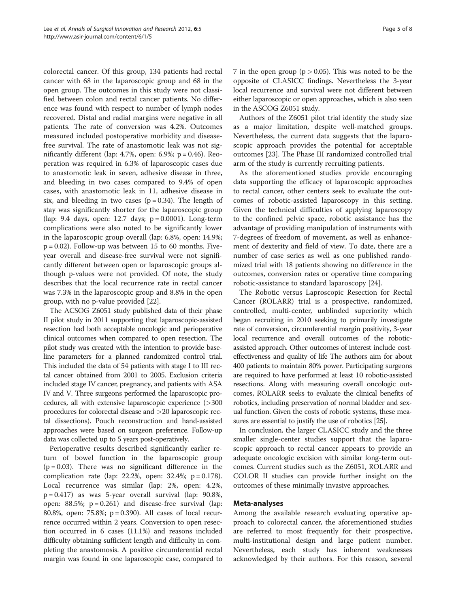colorectal cancer. Of this group, 134 patients had rectal cancer with 68 in the laparoscopic group and 68 in the open group. The outcomes in this study were not classified between colon and rectal cancer patients. No difference was found with respect to number of lymph nodes recovered. Distal and radial margins were negative in all patients. The rate of conversion was 4.2%. Outcomes measured included postoperative morbidity and diseasefree survival. The rate of anastomotic leak was not significantly different (lap: 4.7%, open: 6.9%;  $p = 0.46$ ). Reoperation was required in 6.3% of laparoscopic cases due to anastomotic leak in seven, adhesive disease in three, and bleeding in two cases compared to 9.4% of open cases, with anastomotic leak in 11, adhesive disease in six, and bleeding in two cases  $(p = 0.34)$ . The length of stay was significantly shorter for the laparoscopic group (lap: 9.4 days, open: 12.7 days; p = 0.0001). Long-term complications were also noted to be significantly lower in the laparoscopic group overall (lap: 6.8%, open: 14.9%;  $p = 0.02$ ). Follow-up was between 15 to 60 months. Fiveyear overall and disease-free survival were not significantly different between open or laparoscopic groups although p-values were not provided. Of note, the study describes that the local recurrence rate in rectal cancer was 7.3% in the laparoscopic group and 8.8% in the open group, with no p-value provided [\[22\]](#page-6-0).

The ACSOG Z6051 study published data of their phase II pilot study in 2011 supporting that laparoscopic-assisted resection had both acceptable oncologic and perioperative clinical outcomes when compared to open resection. The pilot study was created with the intention to provide baseline parameters for a planned randomized control trial. This included the data of 54 patients with stage I to III rectal cancer obtained from 2001 to 2005. Exclusion criteria included stage IV cancer, pregnancy, and patients with ASA IV and V. Three surgeons performed the laparoscopic procedures, all with extensive laparoscopic experience (>300 procedures for colorectal disease and >20 laparoscopic rectal dissections). Pouch reconstruction and hand-assisted approaches were based on surgeon preference. Follow-up data was collected up to 5 years post-operatively.

Perioperative results described significantly earlier return of bowel function in the laparoscopic group  $(p = 0.03)$ . There was no significant difference in the complication rate (lap: 22.2%, open: 32.4%;  $p = 0.178$ ). Local recurrence was similar (lap: 2%, open: 4.2%,  $p = 0.417$ ) as was 5-year overall survival (lap: 90.8%, open:  $88.5\%$ ;  $p = 0.261$ ) and disease-free survival (lap: 80.8%, open: 75.8%; p = 0.390). All cases of local recurrence occurred within 2 years. Conversion to open resection occurred in 6 cases (11.1%) and reasons included difficulty obtaining sufficient length and difficulty in completing the anastomosis. A positive circumferential rectal margin was found in one laparoscopic case, compared to 7 in the open group ( $p > 0.05$ ). This was noted to be the opposite of CLASICC findings. Nevertheless the 3-year local recurrence and survival were not different between either laparoscopic or open approaches, which is also seen in the ASCOG Z6051 study.

Authors of the Z6051 pilot trial identify the study size as a major limitation, despite well-matched groups. Nevertheless, the current data suggests that the laparoscopic approach provides the potential for acceptable outcomes [\[23](#page-6-0)]. The Phase III randomized controlled trial arm of the study is currently recruiting patients.

As the aforementioned studies provide encouraging data supporting the efficacy of laparoscopic approaches to rectal cancer, other centers seek to evaluate the outcomes of robotic-assisted laparoscopy in this setting. Given the technical difficulties of applying laparoscopy to the confined pelvic space, robotic assistance has the advantage of providing manipulation of instruments with 7-degrees of freedom of movement, as well as enhancement of dexterity and field of view. To date, there are a number of case series as well as one published randomized trial with 18 patients showing no difference in the outcomes, conversion rates or operative time comparing robotic-assistance to standard laparoscopy [\[24](#page-6-0)].

The Robotic versus Laproscopic Resection for Rectal Cancer (ROLARR) trial is a prospective, randomized, controlled, multi-center, unblinded superiority which began recruiting in 2010 seeking to primarily investigate rate of conversion, circumferential margin positivity, 3-year local recurrence and overall outcomes of the roboticassisted approach. Other outcomes of interest include costeffectiveness and quality of life The authors aim for about 400 patients to maintain 80% power. Participating surgeons are required to have performed at least 10 robotic-assisted resections. Along with measuring overall oncologic outcomes, ROLARR seeks to evaluate the clinical benefits of robotics, including preservation of normal bladder and sexual function. Given the costs of robotic systems, these measures are essential to justify the use of robotics [[25\]](#page-6-0).

In conclusion, the larger CLASICC study and the three smaller single-center studies support that the laparoscopic approach to rectal cancer appears to provide an adequate oncologic excision with similar long-term outcomes. Current studies such as the Z6051, ROLARR and COLOR II studies can provide further insight on the outcomes of these minimally invasive approaches.

# Meta-analyses

Among the available research evaluating operative approach to colorectal cancer, the aforementioned studies are referred to most frequently for their prospective, multi-institutional design and large patient number. Nevertheless, each study has inherent weaknesses acknowledged by their authors. For this reason, several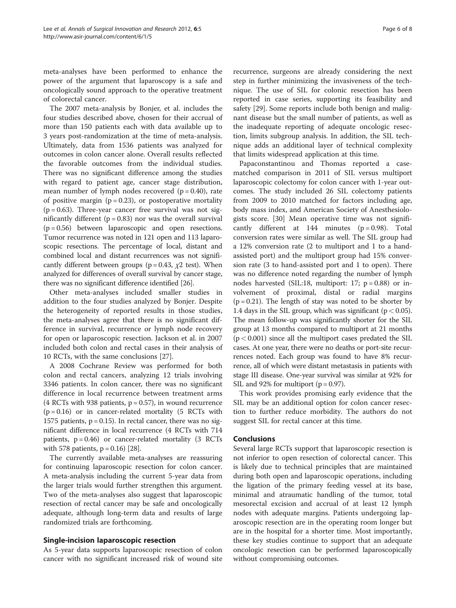meta-analyses have been performed to enhance the power of the argument that laparoscopy is a safe and oncologically sound approach to the operative treatment of colorectal cancer.

The 2007 meta-analysis by Bonjer, et al. includes the four studies described above, chosen for their accrual of more than 150 patients each with data available up to 3 years post-randomization at the time of meta-analysis. Ultimately, data from 1536 patients was analyzed for outcomes in colon cancer alone. Overall results reflected the favorable outcomes from the individual studies. There was no significant difference among the studies with regard to patient age, cancer stage distribution, mean number of lymph nodes recovered  $(p = 0.40)$ , rate of positive margin  $(p = 0.23)$ , or postoperative mortality  $(p = 0.63)$ . Three-year cancer free survival was not significantly different  $(p = 0.83)$  nor was the overall survival  $(p = 0.56)$  between laparoscopic and open resections. Tumor recurrence was noted in 121 open and 113 laparoscopic resections. The percentage of local, distant and combined local and distant recurrences was not significantly different between groups ( $p = 0.43$ ,  $\chi$ 2 test). When analyzed for differences of overall survival by cancer stage, there was no significant difference identified [[26\]](#page-6-0).

Other meta-analyses included smaller studies in addition to the four studies analyzed by Bonjer. Despite the heterogeneity of reported results in those studies, the meta-analyses agree that there is no significant difference in survival, recurrence or lymph node recovery for open or laparoscopic resection. Jackson et al. in 2007 included both colon and rectal cases in their analysis of 10 RCTs, with the same conclusions [[27](#page-6-0)].

A 2008 Cochrane Review was performed for both colon and rectal cancers, analyzing 12 trials involving 3346 patients. In colon cancer, there was no significant difference in local recurrence between treatment arms  $(4$  RCTs with 938 patients,  $p = 0.57$ ), in wound recurrence  $(p = 0.16)$  or in cancer-related mortality (5 RCTs with 1575 patients,  $p = 0.15$ ). In rectal cancer, there was no significant difference in local recurrence (4 RCTs with 714 patients,  $p = 0.46$ ) or cancer-related mortality (3 RCTs with 578 patients,  $p = 0.16$  [[28](#page-6-0)].

The currently available meta-analyses are reassuring for continuing laparoscopic resection for colon cancer. A meta-analysis including the current 5-year data from the larger trials would further strengthen this argument. Two of the meta-analyses also suggest that laparoscopic resection of rectal cancer may be safe and oncologically adequate, although long-term data and results of large randomized trials are forthcoming.

# Single-incision laparoscopic resection

As 5-year data supports laparoscopic resection of colon cancer with no significant increased risk of wound site

recurrence, surgeons are already considering the next step in further minimizing the invasiveness of the technique. The use of SIL for colonic resection has been reported in case series, supporting its feasibility and safety [[29\]](#page-6-0). Some reports include both benign and malignant disease but the small number of patients, as well as the inadequate reporting of adequate oncologic resection, limits subgroup analysis. In addition, the SIL technique adds an additional layer of technical complexity that limits widespread application at this time.

Papaconstantinou and Thomas reported a casematched comparison in 2011 of SIL versus multiport laparoscopic colectomy for colon cancer with 1-year outcomes. The study included 26 SIL colectomy patients from 2009 to 2010 matched for factors including age, body mass index, and American Society of Anesthesiologists score. [[30](#page-7-0)] Mean operative time was not significantly different at  $144$  minutes ( $p = 0.98$ ). Total conversion rates were similar as well. The SIL group had a 12% conversion rate (2 to multiport and 1 to a handassisted port) and the multiport group had 15% conversion rate (3 to hand-assisted port and 1 to open). There was no difference noted regarding the number of lymph nodes harvested (SIL:18, multiport: 17;  $p = 0.88$ ) or involvement of proximal, distal or radial margins  $(p = 0.21)$ . The length of stay was noted to be shorter by 1.4 days in the SIL group, which was significant ( $p < 0.05$ ). The mean follow-up was significantly shorter for the SIL group at 13 months compared to multiport at 21 months  $(p < 0.001)$  since all the multiport cases predated the SIL cases. At one year, there were no deaths or port-site recurrences noted. Each group was found to have 8% recurrence, all of which were distant metastasis in patients with stage III disease. One-year survival was similar at 92% for SIL and 92% for multiport ( $p = 0.97$ ).

This work provides promising early evidence that the SIL may be an additional option for colon cancer resection to further reduce morbidity. The authors do not suggest SIL for rectal cancer at this time.

#### **Conclusions**

Several large RCTs support that laparoscopic resection is not inferior to open resection of colorectal cancer. This is likely due to technical principles that are maintained during both open and laparoscopic operations, including the ligation of the primary feeding vessel at its base, minimal and atraumatic handling of the tumor, total mesorectal excision and accrual of at least 12 lymph nodes with adequate margins. Patients undergoing laparoscopic resection are in the operating room longer but are in the hospital for a shorter time. Most importantly, these key studies continue to support that an adequate oncologic resection can be performed laparoscopically without compromising outcomes.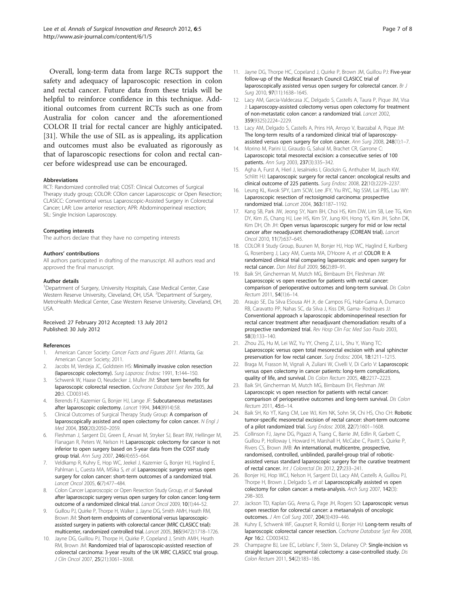<span id="page-6-0"></span>Overall, long-term data from large RCTs support the safety and adequacy of laparoscopic resection in colon and rectal cancer. Future data from these trials will be helpful to reinforce confidence in this technique. Additional outcomes from current RCTs such as one from Australia for colon cancer and the aforementioned COLOR II trial for rectal cancer are highly anticipated. [[31\]](#page-7-0). While the use of SIL as is appealing, its application and outcomes must also be evaluated as rigorously as that of laparoscopic resections for colon and rectal cancer before widespread use can be encouraged.

#### Abbreviations

RCT: Randomized controlled trial; COST: Clinical Outcomes of Surgical Therapy study group; COLOR: COlon cancer Laparoscopic or Open Resection; CLASICC: Conventional versus Laparoscopic-Assisted Surgery in Colorectal Cancer; LAR: Low anterior resection; APR: Abdominoperineal resection; SIL: Single Incision Laparoscopy.

#### Competing interests

The authors declare that they have no competing interests

#### Authors' contributions

All authors participated in drafting of the manuscript. All authors read and approved the final manuscript.

#### Author details

<sup>1</sup>Department of Surgery, University Hospitals, Case Medical Center, Case Western Reserve University, Cleveland, OH, USA. <sup>2</sup>Department of Surgery, MetroHealth Medical Center, Case Western Reserve University, Cleveland, OH, USA.

#### Received: 27 February 2012 Accepted: 13 July 2012 Published: 30 July 2012

#### References

- American Cancer Society: Cancer Facts and Figures 2011. Atlanta, Ga: American Cancer Society; 2011.
- 2. Jacobs M, Verdeja JC, Goldstein HS: Minimally invasive colon resection (laparoscopic colectomy). Surg Laparosc Endosc 1991, 1:144–150.
- 3. Schwenk W, Haase O, Neudecker J, Muller JM: Short term benefits for laparoscopic colorectal resection. Cochrane Database Syst Rev 2005, Jul 20:3. CD003145.
- Berends FJ, Kazemier G, Bonjer HJ, Lange JF: Subcutaneous metastases after laparoscopic colectomy. Lancet 1994, 344(8914):58.
- 5. Clinical Outcomes of Surgical Therapy Study Group: A comparison of laparoscopically assisted and open colectomy for colon cancer. N Engl J Med 2004, 350(20):2050–2059.
- 6. Fleshman J, Sargent DJ, Green E, Anvari M, Stryker SJ, Beart RW, Hellinger M, Flanagan R, Peters W, Nelson H: Laparoscopic colectomy for cancer is not inferior to open surgery based on 5-year data from the COST study group trial. Ann Surg 2007, 246(4):655–664.
- 7. Veldkamp R, Kuhry E, Hop WC, Jeekel J, Kazemier G, Bonjer HJ, Haglind E, Pahlman L, Cuesta MA, MSika S, et al: Laparoscopic surgery versus open surgery for colon cancer: short-term outcomes of a randomized trial. Lancet Oncol 2005, 6(7):477–484.
- Colon Cancer Laparoscopic or Open Resection Study Group, et al: Survival after laparoscopic surgery versus open surgery for colon cancer: long-term outcome of a randomized clinical trial. Lancet Oncol 2009, 10(1):44–52.
- 9. Guillou PJ, Quirke P, Thorpe H, Walker J, Jayne DG, Smith AMH, Heath RM, Brown JM: Short-term endpoints of conventional versus laparoscopicassisted surgery in patients with colorectal cancer (MRC CLASICC trial): multicenter, randomized controlled trial. Lancet 2005, 365(9472):1718–1726.
- Jayne DG, Guillou PJ, Thorpe H, Quirke P, Copeland J, Smith AMH, Heath RM, Brown JM: Randomized trial of laparoscopic-assisted resection of colorectal carcinoma: 3-year results of the UK MRC CLASICC trial group. J Clin Oncol 2007, 25(21):3061–3068.
- 11. Jayne DG, Thorpe HC, Copeland J, Quirke P, Brown JM, Guillou PJ: Five-year follow-up of the Medical Research Council CLASICC trial of laparoscopically assisted versus open surgery for colorectal cancer. Br J Surg 2010, 97(11):1638–1645.
- 12. Lacy AM, Garcia-Valdecasa JC, Delgado S, Castells A, Taura P, Pique JM, Visa J: Laparoscopy-assisted colectomy versus open colectomy for treatment of non-metastatic colon cancer: a randomized trial. Lancet 2002, 359(9325):2224–2229.
- 13. Lacy AM, Delgado S, Castells A, Prins HA, Arroyo V, Ibarzabal A, Pique JM: The long-term results of a randomized clinical trial of laparoscopyassisted versus open surgery for colon cancer. Ann Surg 2008, 248(1):1–7.
- 14. Morino M, Parini U, Giraudo G, Salval M, Brachet CR, Garrone C. Laparoscopic total mesorectal excision: a consecutive series of 100 patients. Ann Surg 2003, 237(3):335–342.
- 15. Agha A, Furst A, Hierl J, Iesalnieks I, Glockzin G, Anthuber M, Jauch KW, Schlitt HJ: Laparoscopic surgery for rectal cancer: oncological results and clinical outcome of 225 patients. Surg Endosc 2008, 22(10):2229–2237.
- 16. Leung KL, Kwok SPY, Lam SCW, Lee JFY, Yiu RYC, Ng SSM, Lai PBS, Lau WY: Laparoscopic resection of rectosigmoid carcinoma: prospective randomized trial. Lancet 2004, 363:1187–1192.
- 17. Kang SB, Park JW, Jeong SY, Nam BH, Choi HS, Kim DW, Lim SB, Lee TG, Kim DY, Kim JS, Chang HJ, Lee HS, Kim SY, Jung KH, Hong YS, Kim JH, Sohn DK, Kim DH, Oh JH: Open versus laparoscopic surgery for mid or low rectal cancer after neoadjuvant chemoradiotherapy (COREAN trial). Lancet Oncol 2010, 11(7):637–645.
- 18. COLOR II Study Group, Buunen M, Bonjer HJ, Hop WC, Haglind E, Kurlberg G, Rosenberg J, Lacy AM, Cuesta MA, D'Hoore A, et al: COLOR II: A randomized clinical trial comparing laparoscopic and open surgery for rectal cancer. Dan Med Bull 2009, 56(2):89–91.
- 19. Baik SH, Gincherman M, Mutch MG, Birnbaum EH, Fleshman JW: Laparoscopic vs open resection for patients with rectal cancer: comparison of perioperative outcomes and long-term survival. Dis Colon Rectum 2011, 54(1):6–14.
- 20. Araujo SE, Da Silva ESousa AH Jr, de Campos FG, Habr-Gama A, Dumarco RB, Caravatto PP, Nahas SC, da Silva J, Kiss DR, Gama- Rodriques JJ: Conventional approach x laparoscopic abdominoperineal resection for rectal cancer treatment after neoadjuvant chemoradiation: results of a prospective randomized trial. Rev Hosp Clin Fac Med Sao Paulo 2003, 58(3):133–140.
- 21. Zhou ZG, Hu M, Lei WZ, Yu YY, Cheng Z, Li L, Shu Y, Wang TC: Laparoscopic versus open total mesorectal excision with anal sphincter preservation for low rectal cancer. Surg Endosc 2004, 18:1211–1215.
- 22. Braga M, Frasson M, Vignali A, Zuliani W, Civelli V, Di Carlo V: Laparoscopic versus open colectomy in cancer patients: long-term complications, quality of life, and survival. Dis Colon Rectum 2005, 48:2217–2223.
- 23. Baik SH, Gincherman M, Mutch MG, Birnbaum EH, Fleshman JW: Laparoscopic vs open resection for patients with rectal cancer: comparison of perioperative outcomes and long-term survival. Dis Colon Rectum 2011, 45:6–14.
- 24. Baik SH, Ko YT, Kang CM, Lee WJ, Kim NK, Sohn SK, Chi HS, Cho CH: Robotic tumor-specific mesorectal excision of rectal cancer: short-term outcome of a pilot randomized trial. Surg Endosc 2008, 22(7):1601–1608.
- 25. Collinson FJ, Jayne DG, Pigazzi A, Tsang C, Barrie JM, Edlin R, Garbett C, Guillou P, Holloway I, Howard H, Marshall H, McCabe C, Pavitt S, Quirke P, Rivers CS, Brown JMB: An international, multicentre, prospective, randomised, controlled, unblinded, parallel-group trial of roboticassisted versus standard laparoscopic surgery for the curative treatment of rectal cancer. Int J Colorectal Dis 2012, 27:233–241.
- 26. Bonjer HJ, Hop WCJ, Nelson H, Sargent DJ, Lacy AM, Castells A, Guillou PJ, Thorpe H, Brown J, Delgado S, et al: Laparoscopically assisted vs open colectomy for colon cancer: a meta-analysis. Arch Surg 2007, 142(3): 298–303.
- 27. Jackson TD, Kaplan GG, Arena G, Page JH, Rogers SO: Laparoscopic versus open resection for colorectal cancer: a metaanalysis of oncologic outcomes. J Am Coll Surg 2007, 204(3):439–446.
- 28. Kuhry E, Schwenk WF, Gaupset R, Romild U, Bonjer HJ: Long-term results of laparoscopic colorectal cancer resection. Cochrane Database Syst Rev 2008, Apr 16:2. CD003432.
- 29. Champagne BJ, Lee EC, Leblanc F, Stein SL, Delaney CP: Single-incision vs straight laparoscopic segmental colectomy: a case-controlled study. Dis Colon Rectum 2011, 54(2):183–186.